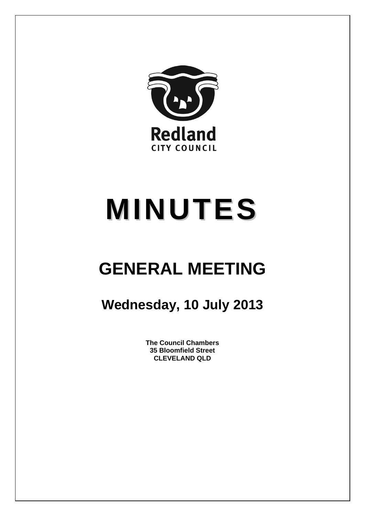

# **MINUTES**

## **GENERAL MEETING**

### **Wednesday, 10 July 2013**

**The Council Chambers 35 Bloomfield Street CLEVELAND QLD**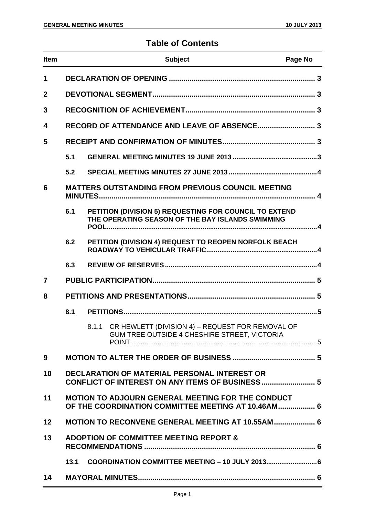#### **Table of Contents**

| <b>Item</b>             |                                                                                                                |  | <b>Subject</b>                                                                                             | Page No |  |
|-------------------------|----------------------------------------------------------------------------------------------------------------|--|------------------------------------------------------------------------------------------------------------|---------|--|
| 1                       |                                                                                                                |  |                                                                                                            |         |  |
| $\overline{2}$          |                                                                                                                |  |                                                                                                            |         |  |
| 3                       |                                                                                                                |  |                                                                                                            |         |  |
| $\overline{\mathbf{4}}$ |                                                                                                                |  |                                                                                                            |         |  |
| 5                       |                                                                                                                |  |                                                                                                            |         |  |
|                         | 5.1                                                                                                            |  |                                                                                                            |         |  |
|                         | 5.2                                                                                                            |  |                                                                                                            |         |  |
| 6                       | <b>MATTERS OUTSTANDING FROM PREVIOUS COUNCIL MEETING</b>                                                       |  |                                                                                                            |         |  |
|                         | 6.1                                                                                                            |  | PETITION (DIVISION 5) REQUESTING FOR COUNCIL TO EXTEND<br>THE OPERATING SEASON OF THE BAY ISLANDS SWIMMING |         |  |
|                         | 6.2                                                                                                            |  | PETITION (DIVISION 4) REQUEST TO REOPEN NORFOLK BEACH                                                      |         |  |
|                         | 6.3                                                                                                            |  |                                                                                                            |         |  |
| $\overline{7}$          |                                                                                                                |  |                                                                                                            |         |  |
| 8                       |                                                                                                                |  |                                                                                                            |         |  |
|                         | 8.1                                                                                                            |  |                                                                                                            |         |  |
|                         |                                                                                                                |  | 8.1.1 CR HEWLETT (DIVISION 4) - REQUEST FOR REMOVAL OF<br>GUM TREE OUTSIDE 4 CHESHIRE STREET, VICTORIA     |         |  |
| 9                       |                                                                                                                |  |                                                                                                            |         |  |
| 10                      | <b>DECLARATION OF MATERIAL PERSONAL INTEREST OR</b><br>CONFLICT OF INTEREST ON ANY ITEMS OF BUSINESS  5        |  |                                                                                                            |         |  |
| 11                      | <b>MOTION TO ADJOURN GENERAL MEETING FOR THE CONDUCT</b><br>OF THE COORDINATION COMMITTEE MEETING AT 10.46AM 6 |  |                                                                                                            |         |  |
| 12                      | <b>MOTION TO RECONVENE GENERAL MEETING AT 10.55AM  6</b>                                                       |  |                                                                                                            |         |  |
| 13                      | <b>ADOPTION OF COMMITTEE MEETING REPORT &amp;</b>                                                              |  |                                                                                                            |         |  |
|                         | 13.1                                                                                                           |  |                                                                                                            |         |  |
| 14                      |                                                                                                                |  |                                                                                                            |         |  |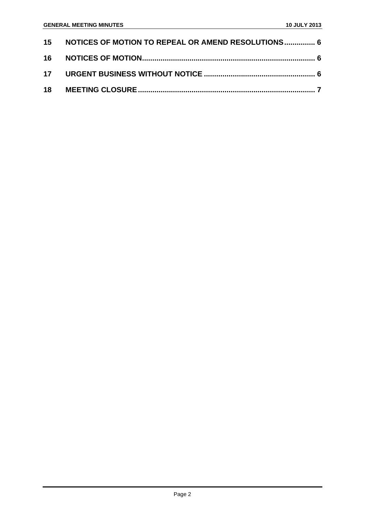| 15 NOTICES OF MOTION TO REPEAL OR AMEND RESOLUTIONS 6 |  |
|-------------------------------------------------------|--|
|                                                       |  |
|                                                       |  |
|                                                       |  |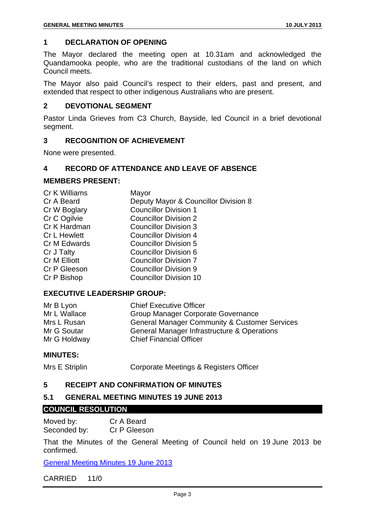#### **1 DECLARATION OF OPENING**

The Mayor declared the meeting open at 10.31am and acknowledged the Quandamooka people, who are the traditional custodians of the land on which Council meets.

The Mayor also paid Council's respect to their elders, past and present, and extended that respect to other indigenous Australians who are present.

#### **2 DEVOTIONAL SEGMENT**

Pastor Linda Grieves from C3 Church, Bayside, led Council in a brief devotional segment.

#### **3 RECOGNITION OF ACHIEVEMENT**

None were presented.

#### **4 RECORD OF ATTENDANCE AND LEAVE OF ABSENCE**

#### **MEMBERS PRESENT:**

| Cr K Williams       | Mayor                                |
|---------------------|--------------------------------------|
| Cr A Beard          | Deputy Mayor & Councillor Division 8 |
| Cr W Boglary        | <b>Councillor Division 1</b>         |
| Cr C Ogilvie        | <b>Councillor Division 2</b>         |
| Cr K Hardman        | <b>Councillor Division 3</b>         |
| <b>Cr L Hewlett</b> | <b>Councillor Division 4</b>         |
| Cr M Edwards        | <b>Councillor Division 5</b>         |
| Cr J Talty          | <b>Councillor Division 6</b>         |
| Cr M Elliott        | <b>Councillor Division 7</b>         |
| Cr P Gleeson        | <b>Councillor Division 9</b>         |
| Cr P Bishop         | <b>Councillor Division 10</b>        |
|                     |                                      |

#### **EXECUTIVE LEADERSHIP GROUP:**

| Mr B Lyon    | <b>Chief Executive Officer</b>                           |
|--------------|----------------------------------------------------------|
| Mr L Wallace | Group Manager Corporate Governance                       |
| Mrs L Rusan  | <b>General Manager Community &amp; Customer Services</b> |
| Mr G Soutar  | General Manager Infrastructure & Operations              |
| Mr G Holdway | <b>Chief Financial Officer</b>                           |

#### **MINUTES:**

Mrs E Striplin Corporate Meetings & Registers Officer

#### **5 RECEIPT AND CONFIRMATION OF MINUTES**

#### **5.1 GENERAL MEETING MINUTES 19 JUNE 2013**

#### **COUNCIL RESOLUTION**

Moved by: Cr A Beard Seconded by: Cr P Gleeson

That the Minutes of the General Meeting of Council held on 19 June 2013 be confirmed.

General Meeting Minutes 19 June 2013

#### CARRIED 11/0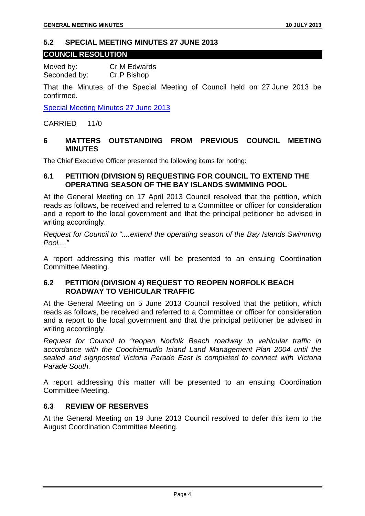#### **5.2 SPECIAL MEETING MINUTES 27 JUNE 2013**

#### **COUNCIL RESOLUTION**

Moved by: Cr M Edwards Seconded by: Cr P Bishop

That the Minutes of the Special Meeting of Council held on 27 June 2013 be confirmed.

Special Meeting Minutes 27 June 2013

CARRIED 11/0

#### **6 MATTERS OUTSTANDING FROM PREVIOUS COUNCIL MEETING MINUTES**

The Chief Executive Officer presented the following items for noting:

#### **6.1 PETITION (DIVISION 5) REQUESTING FOR COUNCIL TO EXTEND THE OPERATING SEASON OF THE BAY ISLANDS SWIMMING POOL**

At the General Meeting on 17 April 2013 Council resolved that the petition, which reads as follows, be received and referred to a Committee or officer for consideration and a report to the local government and that the principal petitioner be advised in writing accordingly.

*Request for Council to "....extend the operating season of the Bay Islands Swimming Pool...."* 

A report addressing this matter will be presented to an ensuing Coordination Committee Meeting.

#### **6.2 PETITION (DIVISION 4) REQUEST TO REOPEN NORFOLK BEACH ROADWAY TO VEHICULAR TRAFFIC**

At the General Meeting on 5 June 2013 Council resolved that the petition, which reads as follows, be received and referred to a Committee or officer for consideration and a report to the local government and that the principal petitioner be advised in writing accordingly.

*Request for Council to "reopen Norfolk Beach roadway to vehicular traffic in accordance with the Coochiemudlo Island Land Management Plan 2004 until the sealed and signposted Victoria Parade East is completed to connect with Victoria Parade South.* 

A report addressing this matter will be presented to an ensuing Coordination Committee Meeting.

#### **6.3 REVIEW OF RESERVES**

At the General Meeting on 19 June 2013 Council resolved to defer this item to the August Coordination Committee Meeting.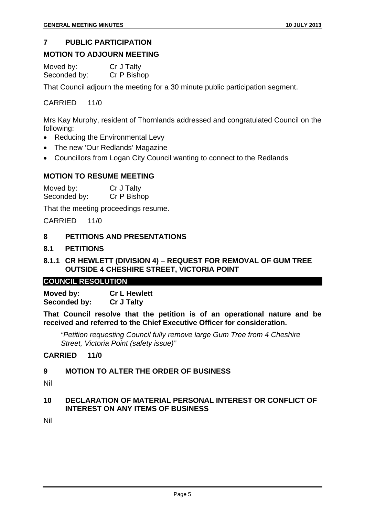#### **7 PUBLIC PARTICIPATION**

#### **MOTION TO ADJOURN MEETING**

| Moved by:    | Cr J Talty  |
|--------------|-------------|
| Seconded by: | Cr P Bishop |

That Council adjourn the meeting for a 30 minute public participation segment.

#### CARRIED 11/0

Mrs Kay Murphy, resident of Thornlands addressed and congratulated Council on the following:

- Reducing the Environmental Levy
- The new 'Our Redlands' Magazine
- Councillors from Logan City Council wanting to connect to the Redlands

#### **MOTION TO RESUME MEETING**

Moved by: Cr J Talty Seconded by: Cr P Bishop

That the meeting proceedings resume.

CARRIED 11/0

#### **8 PETITIONS AND PRESENTATIONS**

#### **8.1 PETITIONS**

#### **8.1.1 CR HEWLETT (DIVISION 4) – REQUEST FOR REMOVAL OF GUM TREE OUTSIDE 4 CHESHIRE STREET, VICTORIA POINT**

#### **COUNCIL RESOLUTION**

**Moved by: Cr L Hewlett Seconded by: Cr J Talty** 

**That Council resolve that the petition is of an operational nature and be received and referred to the Chief Executive Officer for consideration.** 

 *"Petition requesting Council fully remove large Gum Tree from 4 Cheshire Street, Victoria Point (safety issue)"* 

#### **CARRIED 11/0**

#### **9 MOTION TO ALTER THE ORDER OF BUSINESS**

Nil

#### **10 DECLARATION OF MATERIAL PERSONAL INTEREST OR CONFLICT OF INTEREST ON ANY ITEMS OF BUSINESS**

Nil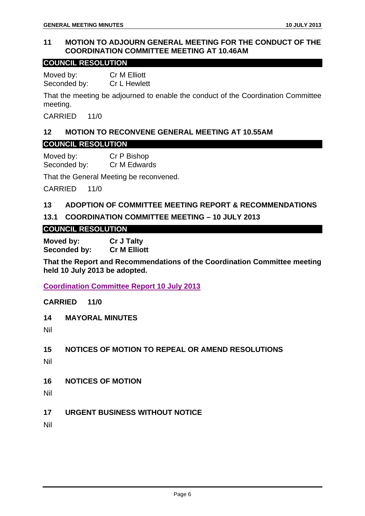#### **11 MOTION TO ADJOURN GENERAL MEETING FOR THE CONDUCT OF THE COORDINATION COMMITTEE MEETING AT 10.46AM**

#### **COUNCIL RESOLUTION**

Moved by: Cr M Elliott Seconded by: Cr L Hewlett

That the meeting be adjourned to enable the conduct of the Coordination Committee meeting.

CARRIED 11/0

#### **12 MOTION TO RECONVENE GENERAL MEETING AT 10.55AM COUNCIL RESOLUTION**

Moved by: Cr P Bishop Seconded by: Cr M Edwards

That the General Meeting be reconvened.

CARRIED 11/0

#### **13 ADOPTION OF COMMITTEE MEETING REPORT & RECOMMENDATIONS**

#### **13.1 COORDINATION COMMITTEE MEETING – 10 JULY 2013**

#### **COUNCIL RESOLUTION**

**Moved by: Cr J Talty Seconded by: Cr M Elliott** 

**That the Report and Recommendations of the Coordination Committee meeting held 10 July 2013 be adopted.** 

**Coordination Committee Report 10 July 2013**

#### **CARRIED 11/0**

**14 MAYORAL MINUTES** 

Nil

#### **15 NOTICES OF MOTION TO REPEAL OR AMEND RESOLUTIONS**

Nil

- **16 NOTICES OF MOTION**
- Nil
- **17 URGENT BUSINESS WITHOUT NOTICE**

Nil